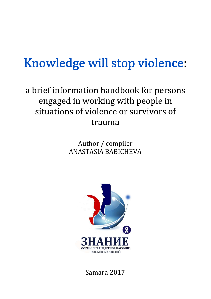### Knowledge will stop violence:

### a brief information handbook for persons engaged in working with people in situations of violence or survivors of trauma

#### Author / compiler ANASTASIA BABICHEVA



Samara 2017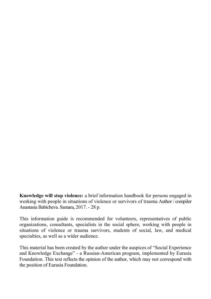Knowledge will stop violence: a brief information handbook for persons engaged in working with people in situations of violence or survivors of trauma Author / compiler Anastasia Babicheva. Samara, 2017. - 28 p.

This information guide is recommended for volunteers, representatives of public organizations, consultants, specialists in the social sphere, working with people in situations of violence or trauma survivors, students of social, law, and medical specialties, as well as a wider audience.

This material has been created by the author under the auspices of "Social Experience and Knowledge Exchange" - a Russian-American program, implemented by Eurasia Foundation. This text reflects the opinion of the author, which may not correspond with the position of Eurasia Foundation.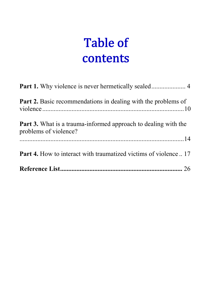### **Table of** contents

| <b>Part 2.</b> Basic recommendations in dealing with the problems of                           |
|------------------------------------------------------------------------------------------------|
| <b>Part 3.</b> What is a trauma-informed approach to dealing with the<br>problems of violence? |
| <b>Part 4.</b> How to interact with traumatized victims of violence  17                        |
|                                                                                                |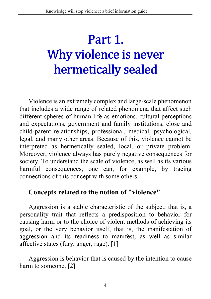# Part 1. Why violence is never hermetically sealed

Violence is an extremely complex and large-scale phenomenon that includes a wide range of related phenomena that affect such different spheres of human life as emotions, cultural perceptions and expectations, government and family institutions, close and child-parent relationships, professional, medical, psychological, legal, and many other areas. Because of this, violence cannot be interpreted as hermetically sealed, local, or private problem. Moreover, violence always has purely negative consequences for society. To understand the scale of violence, as well as its various harmful consequences, one can, for example, by tracing connections of this concept with some others.

#### Concepts related to the notion of "violence"

Aggression is a stable characteristic of the subject, that is, a personality trait that reflects a predisposition to behavior for causing harm or to the choice of violent methods of achieving its goal, or the very behavior itself, that is, the manifestation of aggression and its readiness to manifest, as well as similar affective states (fury, anger, rage). [1]

Aggression is behavior that is caused by the intention to cause harm to someone. [2]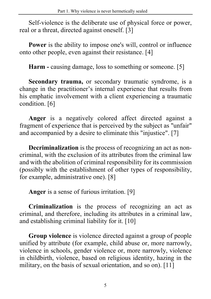Self-violence is the deliberate use of physical force or power, real or a threat, directed against oneself. [3]

Power is the ability to impose one's will, control or influence onto other people, even against their resistance. [4]

Harm - causing damage, loss to something or someone. [5]

Secondary trauma, or secondary traumatic syndrome, is a change in the practitioner's internal experience that results from his emphatic involvement with a client experiencing a traumatic condition. [6]

Anger is a negatively colored affect directed against a fragment of experience that is perceived by the subject as "unfair" and accompanied by a desire to eliminate this "injustice". [7]

Decriminalization is the process of recognizing an act as noncriminal, with the exclusion of its attributes from the criminal law and with the abolition of criminal responsibility for its commission (possibly with the establishment of other types of responsibility, for example, administrative one). [8]

Anger is a sense of furious irritation. [9]

Criminalization is the process of recognizing an act as criminal, and therefore, including its attributes in a criminal law, and establishing criminal liability for it. [10]

Group violence is violence directed against a group of people unified by attribute (for example, child abuse or, more narrowly, violence in schools, gender violence or, more narrowly, violence in childbirth, violence, based on religious identity, hazing in the military, on the basis of sexual orientation, and so on). [11]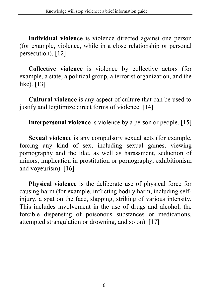Individual violence is violence directed against one person (for example, violence, while in a close relationship or personal persecution). [12]

Collective violence is violence by collective actors (for example, a state, a political group, a terrorist organization, and the like). [13]

Cultural violence is any aspect of culture that can be used to justify and legitimize direct forms of violence. [14]

Interpersonal violence is violence by a person or people. [15]

Sexual violence is any compulsory sexual acts (for example, forcing any kind of sex, including sexual games, viewing pornography and the like, as well as harassment, seduction of minors, implication in prostitution or pornography, exhibitionism and voyeurism). [16]

Physical violence is the deliberate use of physical force for causing harm (for example, inflicting bodily harm, including selfinjury, a spat on the face, slapping, striking of various intensity. This includes involvement in the use of drugs and alcohol, the forcible dispensing of poisonous substances or medications, attempted strangulation or drowning, and so on). [17]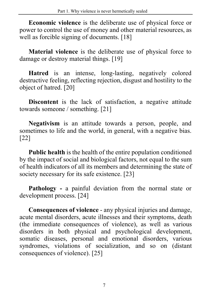Economic violence is the deliberate use of physical force or power to control the use of money and other material resources, as well as forcible signing of documents. [18]

Material violence is the deliberate use of physical force to damage or destroy material things. [19]

Hatred is an intense, long-lasting, negatively colored destructive feeling, reflecting rejection, disgust and hostility to the object of hatred. [20]

Discontent is the lack of satisfaction, a negative attitude towards someone / something. [21]

Negativism is an attitude towards a person, people, and sometimes to life and the world, in general, with a negative bias. [22]

Public health is the health of the entire population conditioned by the impact of social and biological factors, not equal to the sum of health indicators of all its members and determining the state of society necessary for its safe existence. [23]

Pathology - a painful deviation from the normal state or development process. [24]

Consequences of violence - any physical injuries and damage, acute mental disorders, acute illnesses and their symptoms, death (the immediate consequences of violence), as well as various disorders in both physical and psychological development, somatic diseases, personal and emotional disorders, various syndromes, violations of socialization, and so on (distant consequences of violence). [25]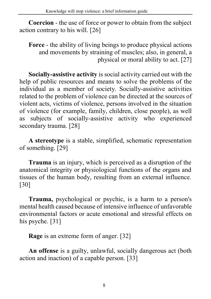Coercion - the use of force or power to obtain from the subject action contrary to his will. [26]

Force - the ability of living beings to produce physical actions and movements by straining of muscles; also, in general, a physical or moral ability to act. [27]

Socially-assistive activity is social activity carried out with the help of public resources and means to solve the problems of the individual as a member of society. Socially-assistive activities related to the problem of violence can be directed at the sources of violent acts, victims of violence, persons involved in the situation of violence (for example, family, children, close people), as well as subjects of socially-assistive activity who experienced secondary trauma. [28]

A stereotype is a stable, simplified, schematic representation of something. [29]

Trauma is an injury, which is perceived as a disruption of the anatomical integrity or physiological functions of the organs and tissues of the human body, resulting from an external influence. [30]

Trauma, psychological or psychic, is a harm to a person's mental health caused because of intensive influence of unfavorable environmental factors or acute emotional and stressful effects on his psyche. [31]

Rage is an extreme form of anger. [32]

An offense is a guilty, unlawful, socially dangerous act (both action and inaction) of a capable person. [33]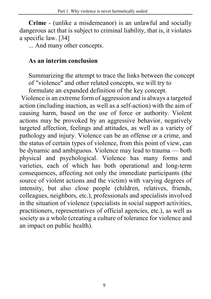Crime - (unlike a misdemeanor) is an unlawful and socially dangerous act that is subject to criminal liability, that is, it violates a specific law. [34]

... And many other concepts.

#### As an interim conclusion

Summarizing the attempt to trace the links between the concept of "violence" and other related concepts, we will try to

formulate an expanded definition of the key concept.

 Violence is an extreme form of aggression and is always a targeted action (including inaction, as well as a self-action) with the aim of causing harm, based on the use of force or authority. Violent actions may be provoked by an aggressive behavior, negatively targeted affection, feelings and attitudes, as well as a variety of pathology and injury. Violence can be an offense or a crime, and the status of certain types of violence, from this point of view, can be dynamic and ambiguous. Violence may lead to trauma — both physical and psychological. Violence has many forms and varieties, each of which has both operational and long-term consequences, affecting not only the immediate participants (the source of violent actions and the victim) with varying degrees of intensity, but also close people (children, relatives, friends, colleagues, neighbors, etc.), professionals and specialists involved in the situation of violence (specialists in social support activities, practitioners, representatives of official agencies, etc.), as well as society as a whole (creating a culture of tolerance for violence and an impact on public health).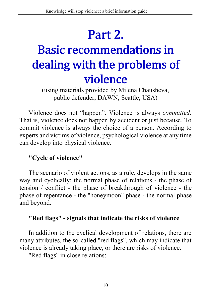# Part 2. **Basic recommendations in** dealing with the problems of violence

(using materials provided by Milena Chausheva, public defender, DAWN, Seattle, USA)

Violence does not "happen". Violence is always committed. That is, violence does not happen by accident or just because. To commit violence is always the choice of a person. According to experts and victims of violence, psychological violence at any time can develop into physical violence.

#### "Cycle of violence"

The scenario of violent actions, as a rule, develops in the same way and cyclically: the normal phase of relations - the phase of tension / conflict - the phase of breakthrough of violence - the phase of repentance - the "honeymoon" phase - the normal phase and beyond.

#### "Red flags" - signals that indicate the risks of violence

In addition to the cyclical development of relations, there are many attributes, the so-called "red flags", which may indicate that violence is already taking place, or there are risks of violence.

"Red flags" in close relations: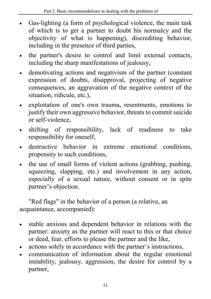- Gas-lighting (a form of psychological violence, the main task of which is to get a partner to doubt his normalcy and the objectivity of what is happening), discrediting behavior, including in the presence of third parties,
- the partner's desire to control and limit external contacts, including the sharp manifestations of jealousy,
- demotivating actions and negativism of the partner (constant expression of doubts, disapproval, projecting of negative consequences, an aggravation of the negative context of the situation, ridicule, etc.),
- exploitation of one's own trauma, resentments, emotions to justify their own aggressive behavior, threats to commit suicide or self-violence,
- shifting of responsibility, lack of readiness to take responsibility for oneself,
- destructive behavior in extreme emotional conditions, propensity to such conditions,
- the use of small forms of violent actions (grabbing, pushing, squeezing, slapping, etc.) and involvement in any action, especially of a sexual nature, without consent or in spite partner's objection.

"Red flags" in the behavior of a person (a relative, an acquaintance, accompanied):

- stable anxious and dependent behavior in relations with the partner: anxiety as the partner will react to this or that choice or deed, fear, efforts to please the partner and the like,
- actions solely in accordance with the partner's instructions,
- communication of information about the regular emotional instability, jealousy, aggression, the desire for control by a partner,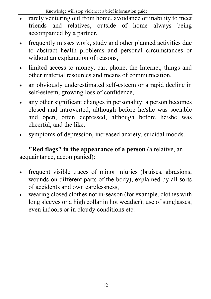- rarely venturing out from home, avoidance or inability to meet friends and relatives, outside of home always being accompanied by a partner,
- frequently misses work, study and other planned activities due to abstract health problems and personal circumstances or without an explanation of reasons,
- limited access to money, car, phone, the Internet, things and other material resources and means of communication,
- an obviously underestimated self-esteem or a rapid decline in self-esteem, growing loss of confidence,
- any other significant changes in personality: a person becomes closed and introverted, although before he/she was sociable and open, often depressed, although before he/she was cheerful, and the like,
- symptoms of depression, increased anxiety, suicidal moods.

"Red flags" in the appearance of a person (a relative, an acquaintance, accompanied):

- frequent visible traces of minor injuries (bruises, abrasions, wounds on different parts of the body), explained by all sorts of accidents and own carelessness,
- wearing closed clothes not in-season (for example, clothes with long sleeves or a high collar in hot weather), use of sunglasses, even indoors or in cloudy conditions etc.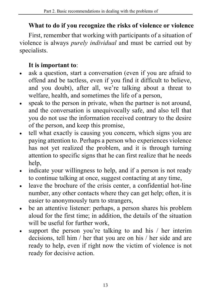#### What to do if you recognize the risks of violence or violence

First, remember that working with participants of a situation of violence is always purely individual and must be carried out by specialists.

#### It is important to:

- ask a question, start a conversation (even if you are afraid to offend and be tactless, even if you find it difficult to believe, and you doubt), after all, we're talking about a threat to welfare, health, and sometimes the life of a person,
- speak to the person in private, when the partner is not around, and the conversation is unequivocally safe, and also tell that you do not use the information received contrary to the desire of the person, and keep this promise,
- tell what exactly is causing you concern, which signs you are paying attention to. Perhaps a person who experiences violence has not yet realized the problem, and it is through turning attention to specific signs that he can first realize that he needs help,
- indicate your willingness to help, and if a person is not ready to continue talking at once, suggest contacting at any time,
- leave the brochure of the crisis center, a confidential hot-line number, any other contacts where they can get help; often, it is easier to anonymously turn to strangers,
- be an attentive listener: perhaps, a person shares his problem aloud for the first time; in addition, the details of the situation will be useful for further work.
- support the person you're talking to and his / her interim decisions, tell him / her that you are on his / her side and are ready to help, even if right now the victim of violence is not ready for decisive action.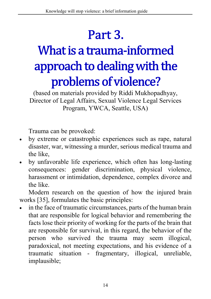# Part 3. What is a trauma-informed approach to dealing with the problems of violence?

(based on materials provided by Riddi Mukhopadhyay, Director of Legal Affairs, Sexual Violence Legal Services Program, YWCA, Seattle, USA)

Trauma can be provoked:

- by extreme or catastrophic experiences such as rape, natural disaster, war, witnessing a murder, serious medical trauma and the like,
- by unfavorable life experience, which often has long-lasting consequences: gender discrimination, physical violence, harassment or intimidation, dependence, complex divorce and the like.

Modern research on the question of how the injured brain works [35], formulates the basic principles:

 in the face of traumatic circumstances, parts of the human brain that are responsible for logical behavior and remembering the facts lose their priority of working for the parts of the brain that are responsible for survival, in this regard, the behavior of the person who survived the trauma may seem illogical, paradoxical, not meeting expectations, and his evidence of a traumatic situation - fragmentary, illogical, unreliable, implausible;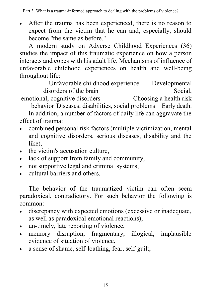After the trauma has been experienced, there is no reason to expect from the victim that he can and, especially, should become "the same as before."

A modern study on Adverse Childhood Experiences (36) studies the impact of this traumatic experience on how a person interacts and copes with his adult life. Mechanisms of influence of unfavorable childhood experiences on health and well-being throughout life:

Unfavorable childhood experience Developmental disorders of the brain Social, emotional, cognitive disorders Choosing a health risk

behavior Diseases, disabilities, social problems Early death.

In addition, a number of factors of daily life can aggravate the effect of trauma:

- combined personal risk factors (multiple victimization, mental and cognitive disorders, serious diseases, disability and the like),
- the victim's accusation culture.
- lack of support from family and community,
- not supportive legal and criminal systems,
- cultural barriers and others.

The behavior of the traumatized victim can often seem paradoxical, contradictory. For such behavior the following is common:

- discrepancy with expected emotions (excessive or inadequate, as well as paradoxical emotional reactions),
- un-timely, late reporting of violence,
- memory disruption, fragmentary, illogical, implausible evidence of situation of violence,
- a sense of shame, self-loathing, fear, self-guilt,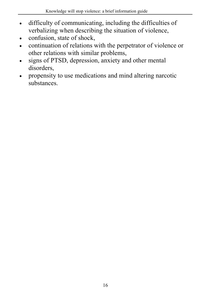- difficulty of communicating, including the difficulties of verbalizing when describing the situation of violence,
- confusion, state of shock,
- continuation of relations with the perpetrator of violence or other relations with similar problems,
- signs of PTSD, depression, anxiety and other mental disorders,
- propensity to use medications and mind altering narcotic substances.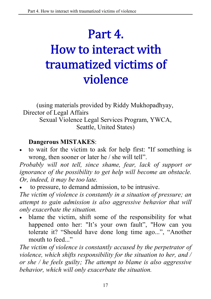### Part 4. How to interact with traumatized victims of violence

(using materials provided by Riddy Mukhopadhyay, Director of Legal Affairs Sexual Violence Legal Services Program, YWCA, Seattle, United States)

#### Dangerous MISTAKES:

 to wait for the victim to ask for help first: "If something is wrong, then sooner or later he / she will tell".

Probably will not tell, since shame, fear, lack of support or ignorance of the possibility to get help will become an obstacle. Or, indeed, it may be too late.

to pressure, to demand admission, to be intrusive.

The victim of violence is constantly in a situation of pressure; an attempt to gain admission is also aggressive behavior that will only exacerbate the situation.

 blame the victim, shift some of the responsibility for what happened onto her: "It's your own fault", "How can you tolerate it? "Should have done long time ago...", "Another mouth to feed..."

The victim of violence is constantly accused by the perpetrator of violence, which shifts responsibility for the situation to her, and / or she / he feels guilty; The attempt to blame is also aggressive behavior, which will only exacerbate the situation.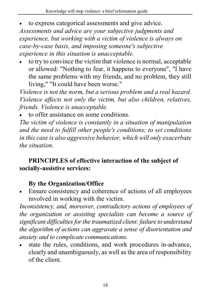- to express categorical assessments and give advice. Assessments and advice are your subjective judgments and experience, but working with a victim of violence is always on case-by-case basis, and imposing someone's subjective experience in this situation is unacceptable.
- to try to convince the victim that violence is normal, acceptable or allowed: "Nothing to fear, it happens to everyone", "I have the same problems with my friends, and no problem, they still living," "It could have been worse."

Violence is not the norm, but a serious problem and a real hazard. Violence affects not only the victim, but also children, relatives, friends. Violence is unacceptable.

to offer assistance on some conditions.

The victim of violence is constantly in a situation of manipulation and the need to fulfill other people's conditions; to set conditions in this case is also aggressive behavior, which will only exacerbate the situation.

#### PRINCIPLES of effective interaction of the subject of socially-assistive services:

#### By the Organization/Office

 Ensure consistency and coherence of actions of all employees involved in working with the victim.

Inconsistency, and, moreover, contradictory actions of employees of the organization or assisting specialists can become a source of significant difficulties for the traumatized client: failure to understand the algorithm of actions can aggravate a sense of disorientation and anxiety and to complicate communications.

 state the rules, conditions, and work procedures in-advance, clearly and unambiguously, as well as the area of responsibility of the client.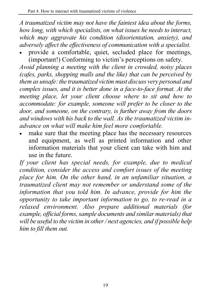A traumatized victim may not have the faintest idea about the forms, how long, with which specialists, on what issues he needs to interact, which may aggravate his condition (disorientation, anxiety), and adversely affect the effectiveness of communication with a specialist.

 provide a comfortable, quiet, secluded place for meetings, (important!) Conforming to victim's perceptions on safety.

Avoid planning a meeting with the client in crowded, noisy places (cafes, parks, shopping malls and the like) that can be perceived by them as unsafe: the traumatized victim must discuss very personal and complex issues, and it is better done in a face-to-face format. At the meeting place, let your client choose where to sit and how to accommodate: for example, someone will prefer to be closer to the door, and someone, on the contrary, is further away from the doors and windows with his back to the wall. As the traumatized victim inadvance on what will make him feel more comfortable.

 make sure that the meeting place has the necessary resources and equipment, as well as printed information and other information materials that your client can take with him and use in the future.

If your client has special needs, for example, due to medical condition, consider the access and comfort issues of the meeting place for him. On the other hand, in an unfamiliar situation, a traumatized client may not remember or understand some of the information that you told him. In advance, provide for him the opportunity to take important information to go, to re-read in a relaxed environment. Also prepare additional materials (for example, official forms, sample documents and similar materials) that will be useful to the victim in other / next agencies, and if possible help him to fill them out.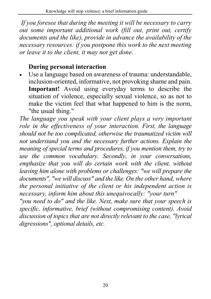If you foresee that during the meeting it will be necessary to carry out some important additional work (fill out, print out, certify documents and the like), provide in advance the availability of the necessary resources: if you postpone this work to the next meeting or leave it to the client, it may not get done.

#### During personal interaction

 Use a language based on awareness of trauma: understandable, inclusion-oriented, informative, not provoking shame and pain. Important! Avoid using everyday terms to describe the situation of violence, especially sexual violence, so as not to make the victim feel that what happened to him is the norm, "the usual thing."

The language you speak with your client plays a very important role in the effectiveness of your interaction. First, the language should not be too complicated, otherwise the traumatized victim will not understand you and the necessary further actions. Explain the meaning of special terms and procedures, if you mention them, try to use the common vocabulary. Secondly, in your conversations, emphasize that you will do certain work with the client, without leaving him alone with problems or challenges: "we will prepare the documents", "we will discuss" and the like. On the other hand, where the personal initiative of the client or his independent action is necessary, inform him about this unequivocally: "your turn"

"you need to do" and the like. Next, make sure that your speech is specific, informative, brief (without compromising content). Avoid discussion of topics that are not directly relevant to the case, "lyrical digressions", optional details, etc.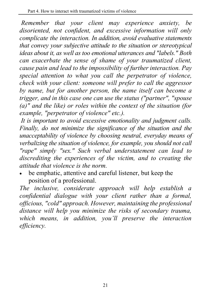Remember that your client may experience anxiety, be disoriented, not confident, and excessive information will only complicate the interaction. In addition, avoid evaluative statements that convey your subjective attitude to the situation or stereotypical ideas about it, as well as too emotional utterances and "labels." Both can exacerbate the sense of shame of your traumatized client, cause pain and lead to the impossibility of further interaction. Pay special attention to what you call the perpetrator of violence, check with your client: someone will prefer to call the aggressor by name, but for another person, the name itself can become a trigger, and in this case one can use the status ("partner", "spouse (a)" and the like) or roles within the context of the situation (for example, "perpetrator of violence" etc.).

 It is important to avoid excessive emotionality and judgment calls. Finally, do not minimize the significance of the situation and the unacceptability of violence by choosing neutral, everyday means of verbalizing the situation of violence, for example, you should not call "rape" simply "sex." Such verbal understatement can lead to discrediting the experiences of the victim, and to creating the attitude that violence is the norm.

 be emphatic, attentive and careful listener, but keep the position of a professional.

The inclusive, considerate approach will help establish a confidential dialogue with your client rather than a formal, officious, "cold" approach. However, maintaining the professional distance will help you minimize the risks of secondary trauma, which means, in addition, you'll preserve the interaction efficiency.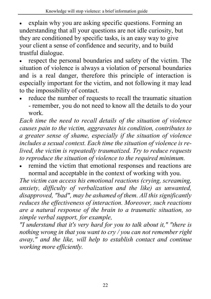explain why you are asking specific questions. Forming an understanding that all your questions are not idle curiosity, but they are conditioned by specific tasks, is an easy way to give your client a sense of confidence and security, and to build trustful dialogue.

 respect the personal boundaries and safety of the victim. The situation of violence is always a violation of personal boundaries and is a real danger, therefore this principle of interaction is especially important for the victim, and not following it may lead to the impossibility of contact.

 reduce the number of requests to recall the traumatic situation - remember, you do not need to know all the details to do your work.

Each time the need to recall details of the situation of violence causes pain to the victim, aggravates his condition, contributes to a greater sense of shame, especially if the situation of violence includes a sexual context. Each time the situation of violence is relived, the victim is repeatedly traumatized. Try to reduce requests to reproduce the situation of violence to the required minimum.

 remind the victim that emotional responses and reactions are normal and acceptable in the context of working with you.

The victim can access his emotional reactions (crying, screaming, anxiety, difficulty of verbalization and the like) as unwanted, disapproved, "bad", may be ashamed of them. All this significantly reduces the effectiveness of interaction. Moreover, such reactions are a natural response of the brain to a traumatic situation, so simple verbal support, for example,

"I understand that it's very hard for you to talk about it," "there is nothing wrong in that you want to cry / you can not remember right away," and the like, will help to establish contact and continue working more efficiently.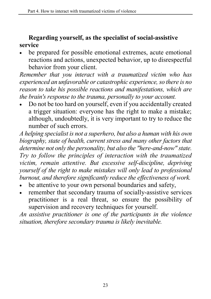#### Regarding yourself, as the specialist of social-assistive service

 be prepared for possible emotional extremes, acute emotional reactions and actions, unexpected behavior, up to disrespectful behavior from your client.

Remember that you interact with a traumatized victim who has experienced an unfavorable or catastrophic experience, so there is no reason to take his possible reactions and manifestations, which are the brain's response to the trauma, personally to your account.

 Do not be too hard on yourself, even if you accidentally created a trigger situation: everyone has the right to make a mistake; although, undoubtedly, it is very important to try to reduce the number of such errors.

A helping specialist is not a superhero, but also a human with his own biography, state of health, current stress and many other factors that determine not only the personality, but also the "here-and-now" state. Try to follow the principles of interaction with the traumatized victim, remain attentive. But excessive self-discipline, depriving yourself of the right to make mistakes will only lead to professional burnout, and therefore significantly reduce the effectiveness of work.

- be attentive to your own personal boundaries and safety,
- remember that secondary trauma of socially-assistive services practitioner is a real threat, so ensure the possibility of supervision and recovery techniques for yourself.

An assistive practitioner is one of the participants in the violence situation, therefore secondary trauma is likely inevitable.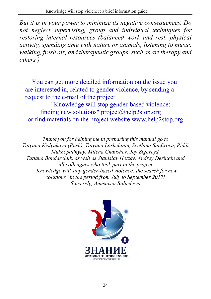But it is in your power to minimize its negative consequences. Do not neglect supervising, group and individual techniques for restoring internal resources (balanced work and rest, physical activity, spending time with nature or animals, listening to music, walking, fresh air, and therapeutic groups, such as art therapy and others ).

You can get more detailed information on the issue you are interested in, related to gender violence, by sending a request to the e-mail of the project "Knowledge will stop gender-based violence:

finding new solutions" project@help2stop.org or find materials on the project website www.help2stop.org

Thank you for helping me in preparing this manual go to Tatyana Kislyakova (Push), Tatyana Loshchinin, Svetlana Sanfirova, Riddi Mukhopadhyay, Milena Chaushev, Joy Zigeveyd, Tatiana Bondarchuk, as well as Stanislav Hotzky, Andrey Deriugin and all colleagues who took part in the project "Knowledge will stop gender-based violence: the search for new solutions" in the period from July to September 2017! Sincerely, Anastasia Babicheva

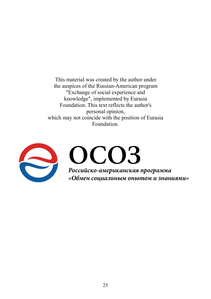This material was created by the author under the auspices of the Russian-American program "Exchange of social experience and knowledge", implemented by Eurasia Foundation. This text reflects the author's personal opinion, which may not coincide with the position of Eurasia Foundation.

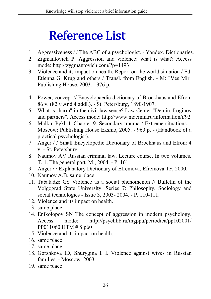### **Reference List**

- 1. Aggressiveness / / The ABC of a psychologist. Yandex. Dictionaries.
- 2. Zigmantovich P. Aggression and violence: what is what? Access mode: http://zygmantovich.com/?p=1493
- 3. Violence and its impact on health. Report on the world situation / Ed. Etienna G. Krug and others / Transl. from English. - M: "Ves Mir" Publishing House, 2003. - 376 p.
- 4. Power, concept // Encyclopaedic dictionary of Brockhaus and Efron: 86 v. (82 v And 4 addl.). - St. Petersburg, 1890-1907.
- 5. What is "harm" in the civil law sense? Law Center "Demin, Loginov and partners". Access mode: http://www.mdemin.ru/information/i/92
- 6. Malkin-Pykh I. Chapter 9. Secondary trauma / Extreme situations. Moscow: Publishing House Eksmo, 2005. - 960 p. - (Handbook of a practical psychologist).
- 7. Anger / / Small Encyclopedic Dictionary of Brockhaus and Efron: 4 v. - St. Petersburg.
- 8. Naumov AV Russian criminal law. Lecture course. In two volumes. T. 1. The general part. M., 2004. - P. 161.
- 9. Anger / / Explanatory Dictionary of Efremova. Efremova TF, 2000.
- 10. Naumov A.B. same place
- 11. Tabatadze GS Violence as a social phenomenon // Bulletin of the Volgograd State University. Series 7: Philosophy. Sociology and social technologies - Issue 3, 2003- 2004. - P. 110-111.
- 12. Violence and its impact on health.
- 13. same place
- 14. Enikolopov SN The concept of aggression in modern psychology. Access mode: http://psychlib.ru/mgppu/periodica/pp102001/ PP011060.HTM # \$ p60
- 15. Violence and its impact on health.
- 16. same place
- 17. same place
- 18. Gorshkova ID, Shurygina I. I. Violence against wives in Russian families. - Moscow: 2003.
- 19. same place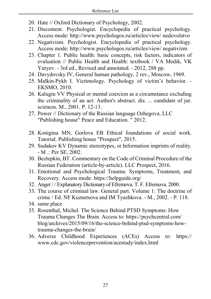- 20. Hate // Oxford Dictionary of Psychology, 2002.
- 21. Discontent. Psychologist. Encyclopedia of practical psychology. Access mode: http://www.psychologos.ru/articles/view/ nedovolstvo
- 22. Negativism. Psychologist. Encyclopedia of practical psychology. Access mode: http://www.psychologos.ru/articles/view/ negativizm
- 23. Chapter 1. Public health: basic concepts, risk factors, indicators of evaluation // Public Health and Health: textbook / VA Medik, VK Yuryev. - 3rd ed., Revised and annotated. - 2012, 288 pp.
- 24. Davydovsky IV, General human pathology, 2 rev., Moscow, 1969.
- 25. Malkin-Pykh I. Victimology. Psychology of victim's behavior. EKSMO, 2010.
- 26. Kalugin VV Physical or mental coercion as a circumstance excluding the criminality of an act: Author's abstract. dis. ... candidate of jur. sciences. M., 2001. P. 12-13.
- 27. Power // Dictionary of the Russian language Ozhegova, LLC "Publishing house" Peace and Education. " 2012.
- 28. Konigina MN, Gorlova EB Ethical foundations of social work. Tutorial. Publishing house "Prospect", 2015.
- 29. Sudakov KV Dynamic stereotypes, or Information imprints of reality. - M .: Per SE, 2002.
- 30. Bezlepkin, BT. Commentary on the Code of Criminal Procedure of the Russian Federation (article-by-article). LLC Prospect, 2016.
- 31. Emotional and Psychological Trauma: Symptoms, Treatment, and Recovery. Access mode: https://helpguide.org/
- 32. Anger / / Explanatory Dictionary of Efremova. T. F. Efremova. 2000.
- 33. The course of criminal law. General part. Volume 1: The doctrine of crime / Ed. NF Kuznetsova and IM Tyazhkova. - M., 2002. - P. 118.
- 34. same place
- 35. Rosenthal, Michel. The Science Behind PTSD Symptoms: How Trauma Changes The Brain. Access to: https://psychcentral.com/ blog/archives/2015/09/16/the-science-behind-ptsd-symptoms-howtrauma-changes-the-brain/
- 36. Adverse Childhood Experiences (ACEs) Access to: https:// www.cdc.gov/violenceprevention/acestudy/index.html